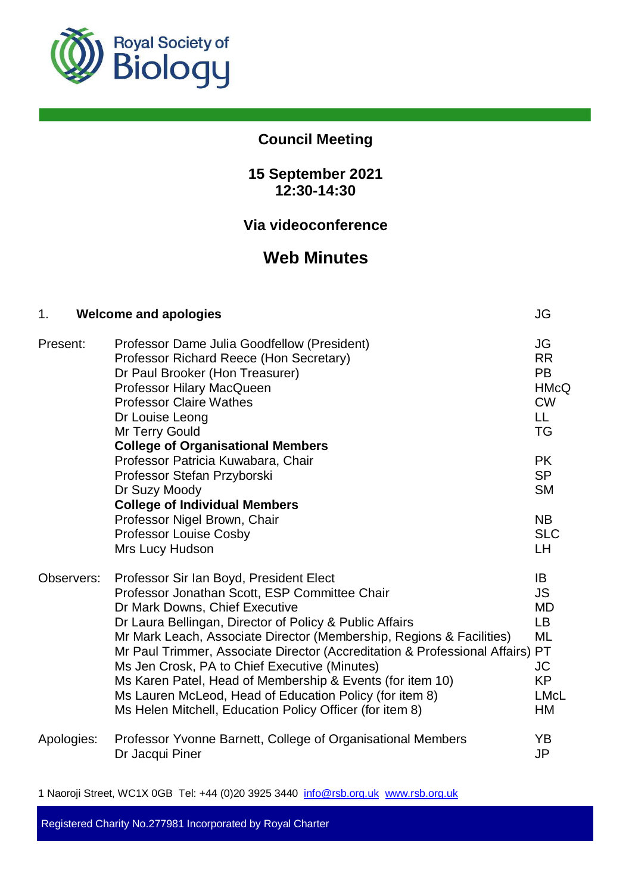

# **Council Meeting**

# **15 September 2021 12:30-14:30**

# **Via videoconference**

# **Web Minutes**

| 1.         | <b>Welcome and apologies</b>                                                                                                                                                                                                                                                                                                                                                                                                                                                                                                                                                        | JG                                                                                       |
|------------|-------------------------------------------------------------------------------------------------------------------------------------------------------------------------------------------------------------------------------------------------------------------------------------------------------------------------------------------------------------------------------------------------------------------------------------------------------------------------------------------------------------------------------------------------------------------------------------|------------------------------------------------------------------------------------------|
| Present:   | Professor Dame Julia Goodfellow (President)<br>Professor Richard Reece (Hon Secretary)<br>Dr Paul Brooker (Hon Treasurer)<br>Professor Hilary MacQueen<br><b>Professor Claire Wathes</b><br>Dr Louise Leong<br>Mr Terry Gould                                                                                                                                                                                                                                                                                                                                                       | JG<br><b>RR</b><br><b>PB</b><br><b>HMcQ</b><br><b>CW</b><br>LL.<br><b>TG</b>             |
|            | <b>College of Organisational Members</b><br>Professor Patricia Kuwabara, Chair<br>Professor Stefan Przyborski<br>Dr Suzy Moody<br><b>College of Individual Members</b>                                                                                                                                                                                                                                                                                                                                                                                                              | <b>PK</b><br><b>SP</b><br><b>SM</b>                                                      |
|            | Professor Nigel Brown, Chair<br><b>Professor Louise Cosby</b><br>Mrs Lucy Hudson                                                                                                                                                                                                                                                                                                                                                                                                                                                                                                    | <b>NB</b><br><b>SLC</b><br>LH                                                            |
| Observers: | Professor Sir Ian Boyd, President Elect<br>Professor Jonathan Scott, ESP Committee Chair<br>Dr Mark Downs, Chief Executive<br>Dr Laura Bellingan, Director of Policy & Public Affairs<br>Mr Mark Leach, Associate Director (Membership, Regions & Facilities)<br>Mr Paul Trimmer, Associate Director (Accreditation & Professional Affairs) PT<br>Ms Jen Crosk, PA to Chief Executive (Minutes)<br>Ms Karen Patel, Head of Membership & Events (for item 10)<br>Ms Lauren McLeod, Head of Education Policy (for item 8)<br>Ms Helen Mitchell, Education Policy Officer (for item 8) | IB<br><b>JS</b><br><b>MD</b><br>LB.<br><b>ML</b><br>JC<br><b>KP</b><br><b>LMcL</b><br>HM |
| Apologies: | Professor Yvonne Barnett, College of Organisational Members<br>Dr Jacqui Piner                                                                                                                                                                                                                                                                                                                                                                                                                                                                                                      | YB<br><b>JP</b>                                                                          |

1 Naoroji Street, WC1X 0GB Tel: +44 (0)20 3925 3440 info@rsb.org.uk www.rsb.org.uk

Registered Charity No.277981 Incorporated by Royal Charter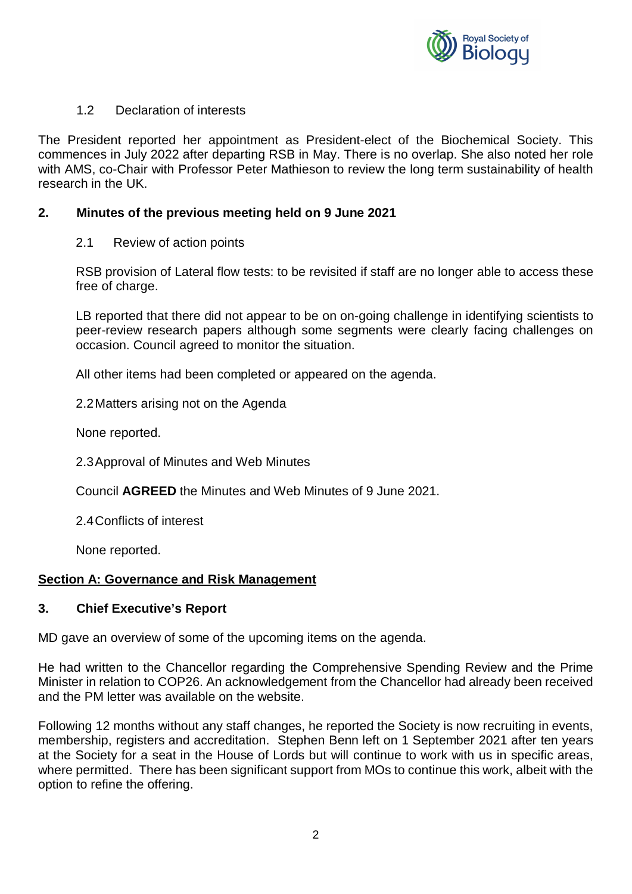

## 1.2 Declaration of interests

The President reported her appointment as President-elect of the Biochemical Society. This commences in July 2022 after departing RSB in May. There is no overlap. She also noted her role with AMS, co-Chair with Professor Peter Mathieson to review the long term sustainability of health research in the UK.

# **2. Minutes of the previous meeting held on 9 June 2021**

2.1 Review of action points

RSB provision of Lateral flow tests: to be revisited if staff are no longer able to access these free of charge.

LB reported that there did not appear to be on on-going challenge in identifying scientists to peer-review research papers although some segments were clearly facing challenges on occasion. Council agreed to monitor the situation.

All other items had been completed or appeared on the agenda.

2.2 Matters arising not on the Agenda

None reported.

2.3 Approval of Minutes and Web Minutes

Council **AGREED** the Minutes and Web Minutes of 9 June 2021.

2.4 Conflicts of interest

None reported.

#### **Section A: Governance and Risk Management**

# **3. Chief Executive's Report**

MD gave an overview of some of the upcoming items on the agenda.

He had written to the Chancellor regarding the Comprehensive Spending Review and the Prime Minister in relation to COP26. An acknowledgement from the Chancellor had already been received and the PM letter was available on the website.

Following 12 months without any staff changes, he reported the Society is now recruiting in events, membership, registers and accreditation. Stephen Benn left on 1 September 2021 after ten years at the Society for a seat in the House of Lords but will continue to work with us in specific areas, where permitted. There has been significant support from MOs to continue this work, albeit with the option to refine the offering.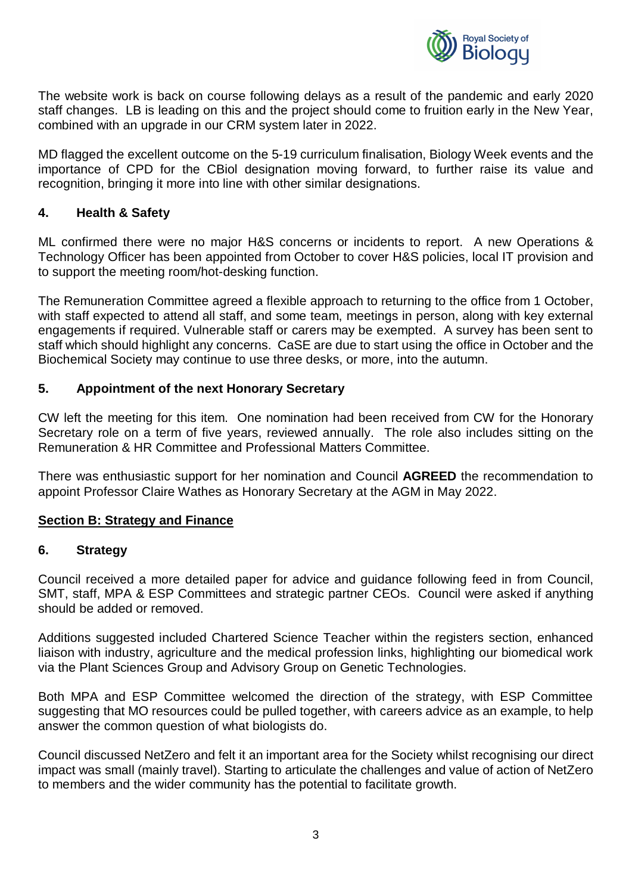

The website work is back on course following delays as a result of the pandemic and early 2020 staff changes. LB is leading on this and the project should come to fruition early in the New Year, combined with an upgrade in our CRM system later in 2022.

MD flagged the excellent outcome on the 5-19 curriculum finalisation, Biology Week events and the importance of CPD for the CBiol designation moving forward, to further raise its value and recognition, bringing it more into line with other similar designations.

# **4. Health & Safety**

ML confirmed there were no major H&S concerns or incidents to report. A new Operations & Technology Officer has been appointed from October to cover H&S policies, local IT provision and to support the meeting room/hot-desking function.

The Remuneration Committee agreed a flexible approach to returning to the office from 1 October, with staff expected to attend all staff, and some team, meetings in person, along with key external engagements if required. Vulnerable staff or carers may be exempted. A survey has been sent to staff which should highlight any concerns. CaSE are due to start using the office in October and the Biochemical Society may continue to use three desks, or more, into the autumn.

# **5. Appointment of the next Honorary Secretary**

CW left the meeting for this item. One nomination had been received from CW for the Honorary Secretary role on a term of five years, reviewed annually. The role also includes sitting on the Remuneration & HR Committee and Professional Matters Committee.

There was enthusiastic support for her nomination and Council **AGREED** the recommendation to appoint Professor Claire Wathes as Honorary Secretary at the AGM in May 2022.

#### **Section B: Strategy and Finance**

#### **6. Strategy**

Council received a more detailed paper for advice and guidance following feed in from Council, SMT, staff, MPA & ESP Committees and strategic partner CEOs. Council were asked if anything should be added or removed.

Additions suggested included Chartered Science Teacher within the registers section, enhanced liaison with industry, agriculture and the medical profession links, highlighting our biomedical work via the Plant Sciences Group and Advisory Group on Genetic Technologies.

Both MPA and ESP Committee welcomed the direction of the strategy, with ESP Committee suggesting that MO resources could be pulled together, with careers advice as an example, to help answer the common question of what biologists do.

Council discussed NetZero and felt it an important area for the Society whilst recognising our direct impact was small (mainly travel). Starting to articulate the challenges and value of action of NetZero to members and the wider community has the potential to facilitate growth.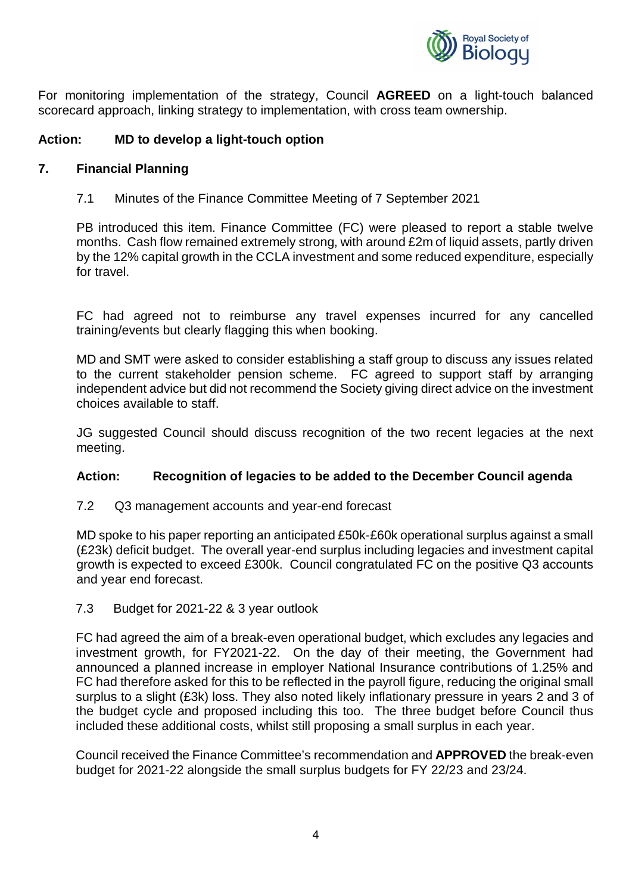

For monitoring implementation of the strategy, Council **AGREED** on a light-touch balanced scorecard approach, linking strategy to implementation, with cross team ownership.

### **Action: MD to develop a light-touch option**

#### **7. Financial Planning**

7.1 Minutes of the Finance Committee Meeting of 7 September 2021

PB introduced this item. Finance Committee (FC) were pleased to report a stable twelve months. Cash flow remained extremely strong, with around £2m of liquid assets, partly driven by the 12% capital growth in the CCLA investment and some reduced expenditure, especially for travel.

FC had agreed not to reimburse any travel expenses incurred for any cancelled training/events but clearly flagging this when booking.

MD and SMT were asked to consider establishing a staff group to discuss any issues related to the current stakeholder pension scheme. FC agreed to support staff by arranging independent advice but did not recommend the Society giving direct advice on the investment choices available to staff.

JG suggested Council should discuss recognition of the two recent legacies at the next meeting.

#### **Action: Recognition of legacies to be added to the December Council agenda**

7.2 Q3 management accounts and year-end forecast

MD spoke to his paper reporting an anticipated £50k-£60k operational surplus against a small (£23k) deficit budget. The overall year-end surplus including legacies and investment capital growth is expected to exceed £300k. Council congratulated FC on the positive Q3 accounts and year end forecast.

7.3 Budget for 2021-22 & 3 year outlook

FC had agreed the aim of a break-even operational budget, which excludes any legacies and investment growth, for FY2021-22. On the day of their meeting, the Government had announced a planned increase in employer National Insurance contributions of 1.25% and FC had therefore asked for this to be reflected in the payroll figure, reducing the original small surplus to a slight (£3k) loss. They also noted likely inflationary pressure in years 2 and 3 of the budget cycle and proposed including this too. The three budget before Council thus included these additional costs, whilst still proposing a small surplus in each year.

Council received the Finance Committee's recommendation and **APPROVED** the break-even budget for 2021-22 alongside the small surplus budgets for FY 22/23 and 23/24.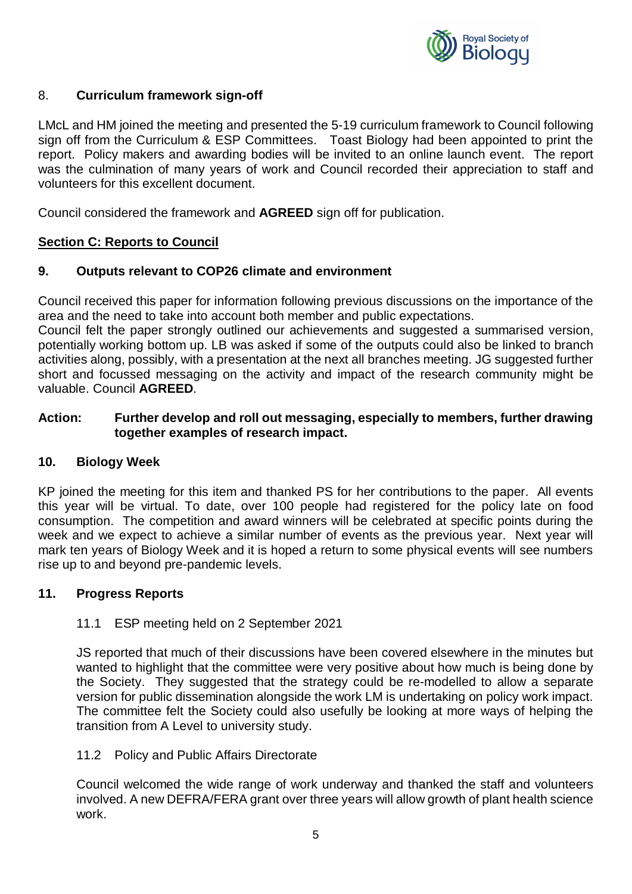

# 8. **Curriculum framework sign-off**

LMcL and HM joined the meeting and presented the 5-19 curriculum framework to Council following sign off from the Curriculum & ESP Committees. Toast Biology had been appointed to print the report. Policy makers and awarding bodies will be invited to an online launch event. The report was the culmination of many years of work and Council recorded their appreciation to staff and volunteers for this excellent document.

Council considered the framework and **AGREED** sign off for publication.

#### **Section C: Reports to Council**

#### **9. Outputs relevant to COP26 climate and environment**

Council received this paper for information following previous discussions on the importance of the area and the need to take into account both member and public expectations.

Council felt the paper strongly outlined our achievements and suggested a summarised version, potentially working bottom up. LB was asked if some of the outputs could also be linked to branch activities along, possibly, with a presentation at the next all branches meeting. JG suggested further short and focussed messaging on the activity and impact of the research community might be valuable. Council **AGREED**.

#### **Action: Further develop and roll out messaging, especially to members, further drawing together examples of research impact.**

#### **10. Biology Week**

KP joined the meeting for this item and thanked PS for her contributions to the paper. All events this year will be virtual. To date, over 100 people had registered for the policy late on food consumption. The competition and award winners will be celebrated at specific points during the week and we expect to achieve a similar number of events as the previous year. Next year will mark ten years of Biology Week and it is hoped a return to some physical events will see numbers rise up to and beyond pre-pandemic levels.

#### **11. Progress Reports**

#### 11.1 ESP meeting held on 2 September 2021

JS reported that much of their discussions have been covered elsewhere in the minutes but wanted to highlight that the committee were very positive about how much is being done by the Society. They suggested that the strategy could be re-modelled to allow a separate version for public dissemination alongside the work LM is undertaking on policy work impact. The committee felt the Society could also usefully be looking at more ways of helping the transition from A Level to university study.

#### 11.2 Policy and Public Affairs Directorate

Council welcomed the wide range of work underway and thanked the staff and volunteers involved. A new DEFRA/FERA grant over three years will allow growth of plant health science work.